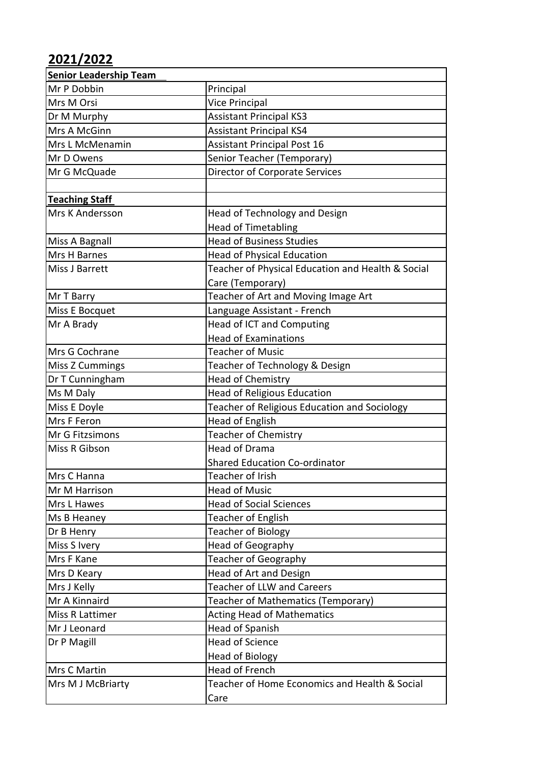## **2021/2022**

| <b>Senior Leadership Team</b> |                                                   |
|-------------------------------|---------------------------------------------------|
| Mr P Dobbin                   | Principal                                         |
| Mrs M Orsi                    | <b>Vice Principal</b>                             |
| Dr M Murphy                   | <b>Assistant Principal KS3</b>                    |
| Mrs A McGinn                  | <b>Assistant Principal KS4</b>                    |
| Mrs L McMenamin               | <b>Assistant Principal Post 16</b>                |
| Mr D Owens                    | Senior Teacher (Temporary)                        |
| Mr G McQuade                  | <b>Director of Corporate Services</b>             |
|                               |                                                   |
| <b>Teaching Staff</b>         |                                                   |
| Mrs K Andersson               | Head of Technology and Design                     |
|                               | <b>Head of Timetabling</b>                        |
| Miss A Bagnall                | <b>Head of Business Studies</b>                   |
| Mrs H Barnes                  | <b>Head of Physical Education</b>                 |
| Miss J Barrett                | Teacher of Physical Education and Health & Social |
|                               | Care (Temporary)                                  |
| Mr T Barry                    | Teacher of Art and Moving Image Art               |
| Miss E Bocquet                | Language Assistant - French                       |
| Mr A Brady                    | <b>Head of ICT and Computing</b>                  |
|                               | <b>Head of Examinations</b>                       |
| Mrs G Cochrane                | <b>Teacher of Music</b>                           |
| <b>Miss Z Cummings</b>        | Teacher of Technology & Design                    |
| Dr T Cunningham               | <b>Head of Chemistry</b>                          |
| Ms M Daly                     | <b>Head of Religious Education</b>                |
| Miss E Doyle                  | Teacher of Religious Education and Sociology      |
| Mrs F Feron                   | Head of English                                   |
| Mr G Fitzsimons               | <b>Teacher of Chemistry</b>                       |
| Miss R Gibson                 | <b>Head of Drama</b>                              |
|                               | <b>Shared Education Co-ordinator</b>              |
| Mrs C Hanna                   | Teacher of Irish                                  |
| Mr M Harrison                 | <b>Head of Music</b>                              |
| Mrs L Hawes                   | <b>Head of Social Sciences</b>                    |
| Ms B Heaney                   | <b>Teacher of English</b>                         |
| Dr B Henry                    | <b>Teacher of Biology</b>                         |
| Miss S Ivery                  | Head of Geography                                 |
| Mrs F Kane                    | <b>Teacher of Geography</b>                       |
| Mrs D Keary                   | Head of Art and Design                            |
| Mrs J Kelly                   | <b>Teacher of LLW and Careers</b>                 |
| Mr A Kinnaird                 | Teacher of Mathematics (Temporary)                |
| Miss R Lattimer               | <b>Acting Head of Mathematics</b>                 |
| Mr J Leonard                  | Head of Spanish                                   |
| Dr P Magill                   | <b>Head of Science</b>                            |
|                               | <b>Head of Biology</b>                            |
| Mrs C Martin                  | Head of French                                    |
| Mrs M J McBriarty             | Teacher of Home Economics and Health & Social     |
|                               | Care                                              |